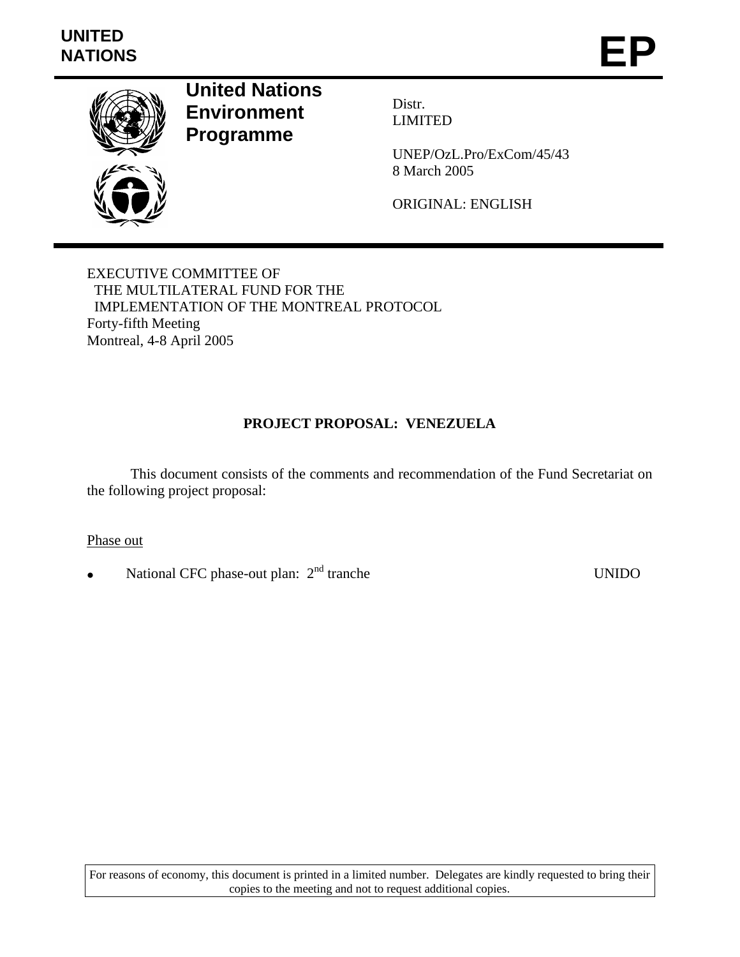

**United Nations Environment Programme** 

Distr. LIMITED

UNEP/OzL.Pro/ExCom/45/43 8 March 2005

ORIGINAL: ENGLISH

EXECUTIVE COMMITTEE OF THE MULTILATERAL FUND FOR THE IMPLEMENTATION OF THE MONTREAL PROTOCOL Forty-fifth Meeting Montreal, 4-8 April 2005

# **PROJECT PROPOSAL: VENEZUELA**

 This document consists of the comments and recommendation of the Fund Secretariat on the following project proposal:

Phase out

• National CFC phase-out plan: 2nd tranche UNIDO

For reasons of economy, this document is printed in a limited number. Delegates are kindly requested to bring their copies to the meeting and not to request additional copies.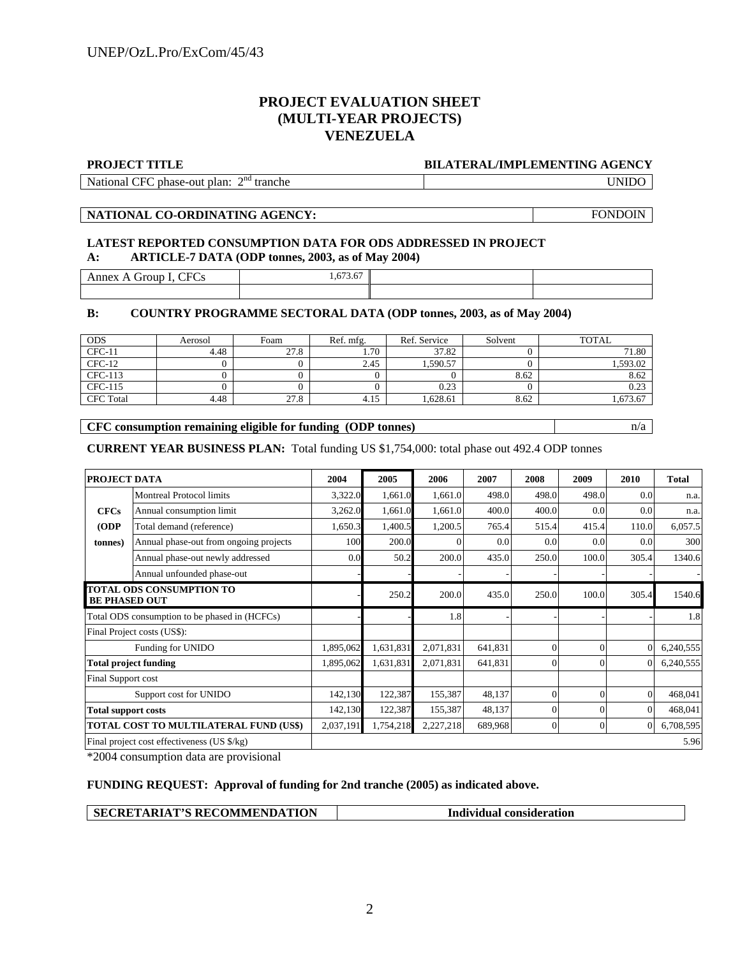## **PROJECT EVALUATION SHEET (MULTI-YEAR PROJECTS) VENEZUELA**

#### **PROJECT TITLE BILATERAL/IMPLEMENTING AGENCY**

National CFC phase-out plan:  $2<sup>nd</sup>$  tranche

tranche UNIDO

**NATIONAL CO-ORDINATING AGENCY:** FONDOIN

# **LATEST REPORTED CONSUMPTION DATA FOR ODS ADDRESSED IN PROJECT A: ARTICLE-7 DATA (ODP tonnes, 2003, as of May 2004)**

Annex A Group I, CFCs 1,673.67

## **B: COUNTRY PROGRAMME SECTORAL DATA (ODP tonnes, 2003, as of May 2004)**

| <b>ODS</b>       | Aerosol | Foam | Ref. mfg. | Ref. Service | Solvent | <b>TOTAL</b> |
|------------------|---------|------|-----------|--------------|---------|--------------|
| $CFC-11$         | 4.48    | 27.8 | 1.70      | 37.82        |         | 71.80        |
| $CFC-12$         |         |      | 2.45      | .590.57      |         | 1,593.02     |
| CFC-113          |         |      |           |              | 8.62    | 8.62         |
| CFC-115          |         |      |           | 0.23         |         | 0.23         |
| <b>CFC</b> Total | 4.48    | 27.8 | 4.15      | .628.61      | 8.62    | .,673.67     |

## **CFC consumption remaining eligible for funding (ODP tonnes)**  $n/a$

**CURRENT YEAR BUSINESS PLAN:** Total funding US \$1,754,000: total phase out 492.4 ODP tonnes

| PROJECT DATA                                            |                                               | 2004      | 2005      | 2006      | 2007    | 2008     | 2009     | 2010             | <b>Total</b> |
|---------------------------------------------------------|-----------------------------------------------|-----------|-----------|-----------|---------|----------|----------|------------------|--------------|
|                                                         | <b>Montreal Protocol limits</b>               | 3,322.0   | 1,661.0   | 1,661.0   | 498.0   | 498.0    | 498.0    | 0.0 <sub>l</sub> | n.a.         |
| <b>CFCs</b>                                             | Annual consumption limit                      | 3,262.0   | 1,661.0   | 1,661.0   | 400.0   | 400.0    | 0.0      | 0.0              | n.a.         |
| (ODP)                                                   | Total demand (reference)                      | 1,650.3   | 1,400.5   | 1,200.5   | 765.4   | 515.4    | 415.4    | 110.0            | 6,057.5      |
| tonnes)                                                 | Annual phase-out from ongoing projects        | 100       | 200.0     | $\Omega$  | 0.0     | 0.0      | 0.0      | 0.0 <sub>l</sub> | 300          |
|                                                         | Annual phase-out newly addressed              | 0.0       | 50.2      | 200.0     | 435.0   | 250.0    | 100.0    | 305.4            | 1340.6       |
|                                                         | Annual unfounded phase-out                    |           |           |           |         |          |          |                  |              |
| <b>TOTAL ODS CONSUMPTION TO</b><br><b>BE PHASED OUT</b> |                                               |           | 250.2     | 200.0     | 435.0   | 250.0    | 100.0    | 305.4            | 1540.6       |
| Total ODS consumption to be phased in (HCFCs)           |                                               |           |           | 1.8       |         |          |          |                  | 1.8          |
|                                                         | Final Project costs (US\$):                   |           |           |           |         |          |          |                  |              |
|                                                         | Funding for UNIDO                             | 1,895,062 | 1,631,831 | 2,071,831 | 641,831 | $\Omega$ | $\Omega$ | $\Omega$         | 6,240,555    |
|                                                         | <b>Total project funding</b>                  | 1,895,062 | 1,631,831 | 2,071,831 | 641,831 | $\Omega$ | $\Omega$ | $\Omega$         | 6,240,555    |
| Final Support cost                                      |                                               |           |           |           |         |          |          |                  |              |
| Support cost for UNIDO                                  |                                               | 142,130   | 122,387   | 155,387   | 48,137  | $\Omega$ | $\theta$ | $\Omega$         | 468,041      |
| <b>Total support costs</b>                              |                                               | 142,130   | 122,387   | 155,387   | 48,137  |          | $\theta$ | $\Omega$         | 468,041      |
|                                                         | <b>TOTAL COST TO MULTILATERAL FUND (US\$)</b> | 2,037,191 | 1,754,218 | 2,227,218 | 689,968 | $\Omega$ | 0        | $\overline{0}$   | 6,708,595    |
|                                                         | Final project cost effectiveness (US \$/kg)   |           |           |           |         |          |          |                  | 5.96         |

\*2004 consumption data are provisional

## **FUNDING REQUEST: Approval of funding for 2nd tranche (2005) as indicated above.**

| <b>SECRETARIAT'S RECOMMENDATION</b> | Individual consideration |
|-------------------------------------|--------------------------|
|-------------------------------------|--------------------------|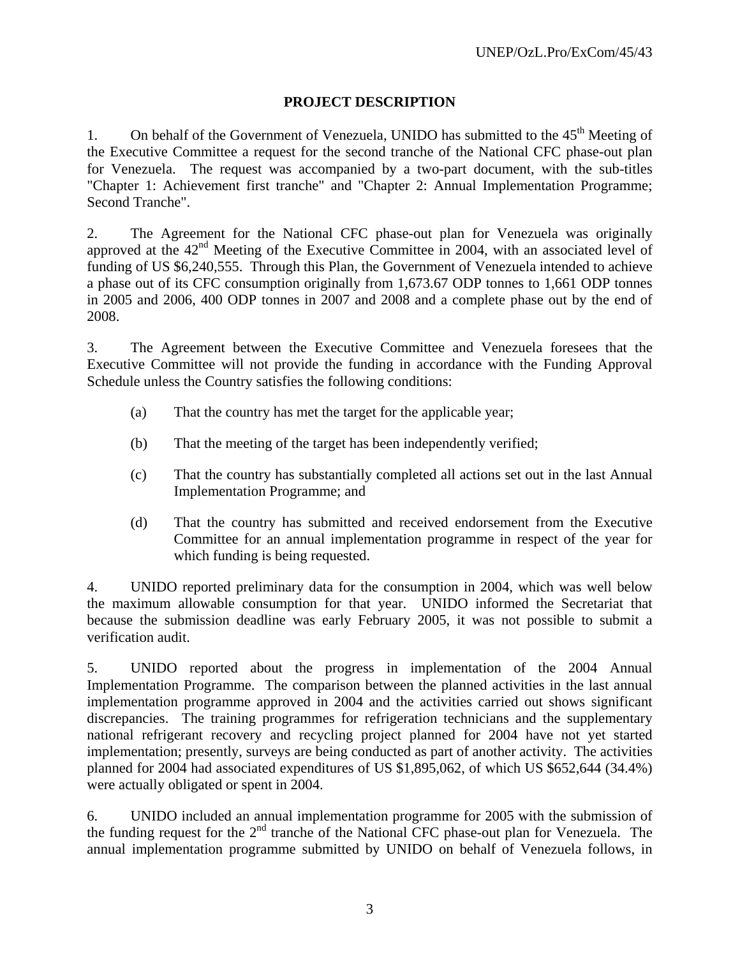# **PROJECT DESCRIPTION**

1. On behalf of the Government of Venezuela, UNIDO has submitted to the  $45<sup>th</sup>$  Meeting of the Executive Committee a request for the second tranche of the National CFC phase-out plan for Venezuela. The request was accompanied by a two-part document, with the sub-titles "Chapter 1: Achievement first tranche" and "Chapter 2: Annual Implementation Programme; Second Tranche".

2. The Agreement for the National CFC phase-out plan for Venezuela was originally approved at the  $42<sup>nd</sup>$  Meeting of the Executive Committee in 2004, with an associated level of funding of US \$6,240,555. Through this Plan, the Government of Venezuela intended to achieve a phase out of its CFC consumption originally from 1,673.67 ODP tonnes to 1,661 ODP tonnes in 2005 and 2006, 400 ODP tonnes in 2007 and 2008 and a complete phase out by the end of 2008.

3. The Agreement between the Executive Committee and Venezuela foresees that the Executive Committee will not provide the funding in accordance with the Funding Approval Schedule unless the Country satisfies the following conditions:

- (a) That the country has met the target for the applicable year;
- (b) That the meeting of the target has been independently verified;
- (c) That the country has substantially completed all actions set out in the last Annual Implementation Programme; and
- (d) That the country has submitted and received endorsement from the Executive Committee for an annual implementation programme in respect of the year for which funding is being requested.

4. UNIDO reported preliminary data for the consumption in 2004, which was well below the maximum allowable consumption for that year. UNIDO informed the Secretariat that because the submission deadline was early February 2005, it was not possible to submit a verification audit.

5. UNIDO reported about the progress in implementation of the 2004 Annual Implementation Programme. The comparison between the planned activities in the last annual implementation programme approved in 2004 and the activities carried out shows significant discrepancies. The training programmes for refrigeration technicians and the supplementary national refrigerant recovery and recycling project planned for 2004 have not yet started implementation; presently, surveys are being conducted as part of another activity. The activities planned for 2004 had associated expenditures of US \$1,895,062, of which US \$652,644 (34.4%) were actually obligated or spent in 2004.

6. UNIDO included an annual implementation programme for 2005 with the submission of the funding request for the  $2<sup>nd</sup>$  tranche of the National CFC phase-out plan for Venezuela. The annual implementation programme submitted by UNIDO on behalf of Venezuela follows, in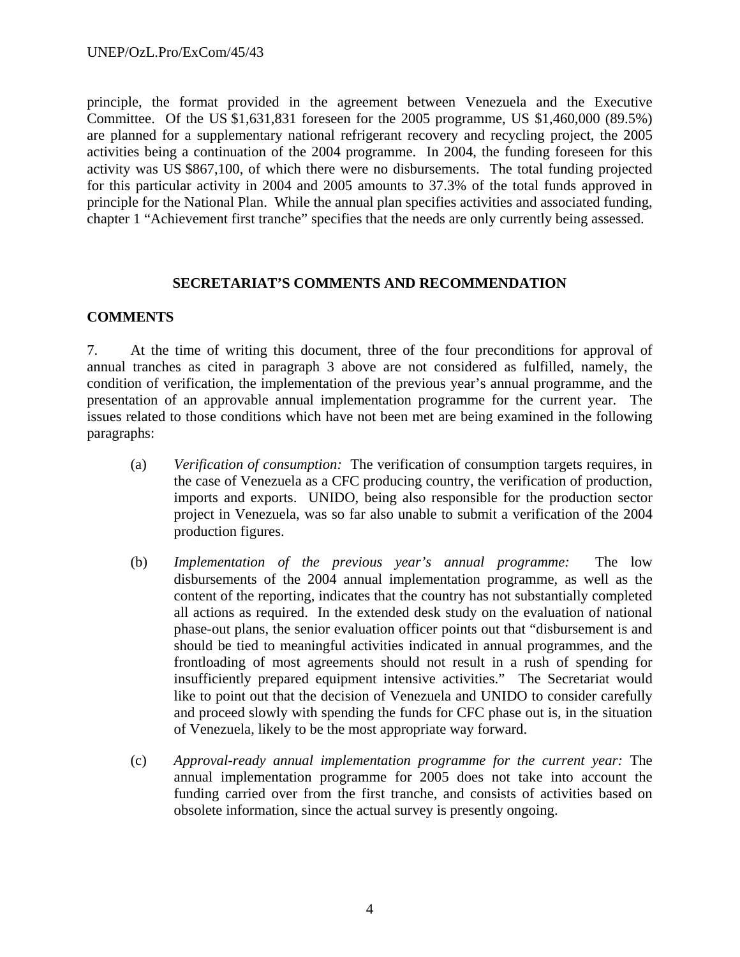principle, the format provided in the agreement between Venezuela and the Executive Committee. Of the US \$1,631,831 foreseen for the 2005 programme, US \$1,460,000 (89.5%) are planned for a supplementary national refrigerant recovery and recycling project, the 2005 activities being a continuation of the 2004 programme. In 2004, the funding foreseen for this activity was US \$867,100, of which there were no disbursements. The total funding projected for this particular activity in 2004 and 2005 amounts to 37.3% of the total funds approved in principle for the National Plan. While the annual plan specifies activities and associated funding, chapter 1 "Achievement first tranche" specifies that the needs are only currently being assessed.

## **SECRETARIAT'S COMMENTS AND RECOMMENDATION**

## **COMMENTS**

7. At the time of writing this document, three of the four preconditions for approval of annual tranches as cited in paragraph 3 above are not considered as fulfilled, namely, the condition of verification, the implementation of the previous year's annual programme, and the presentation of an approvable annual implementation programme for the current year. The issues related to those conditions which have not been met are being examined in the following paragraphs:

- (a) *Verification of consumption:* The verification of consumption targets requires, in the case of Venezuela as a CFC producing country, the verification of production, imports and exports. UNIDO, being also responsible for the production sector project in Venezuela, was so far also unable to submit a verification of the 2004 production figures.
- (b) *Implementation of the previous year's annual programme:* The low disbursements of the 2004 annual implementation programme, as well as the content of the reporting, indicates that the country has not substantially completed all actions as required. In the extended desk study on the evaluation of national phase-out plans, the senior evaluation officer points out that "disbursement is and should be tied to meaningful activities indicated in annual programmes, and the frontloading of most agreements should not result in a rush of spending for insufficiently prepared equipment intensive activities." The Secretariat would like to point out that the decision of Venezuela and UNIDO to consider carefully and proceed slowly with spending the funds for CFC phase out is, in the situation of Venezuela, likely to be the most appropriate way forward.
- (c) *Approval-ready annual implementation programme for the current year:* The annual implementation programme for 2005 does not take into account the funding carried over from the first tranche, and consists of activities based on obsolete information, since the actual survey is presently ongoing.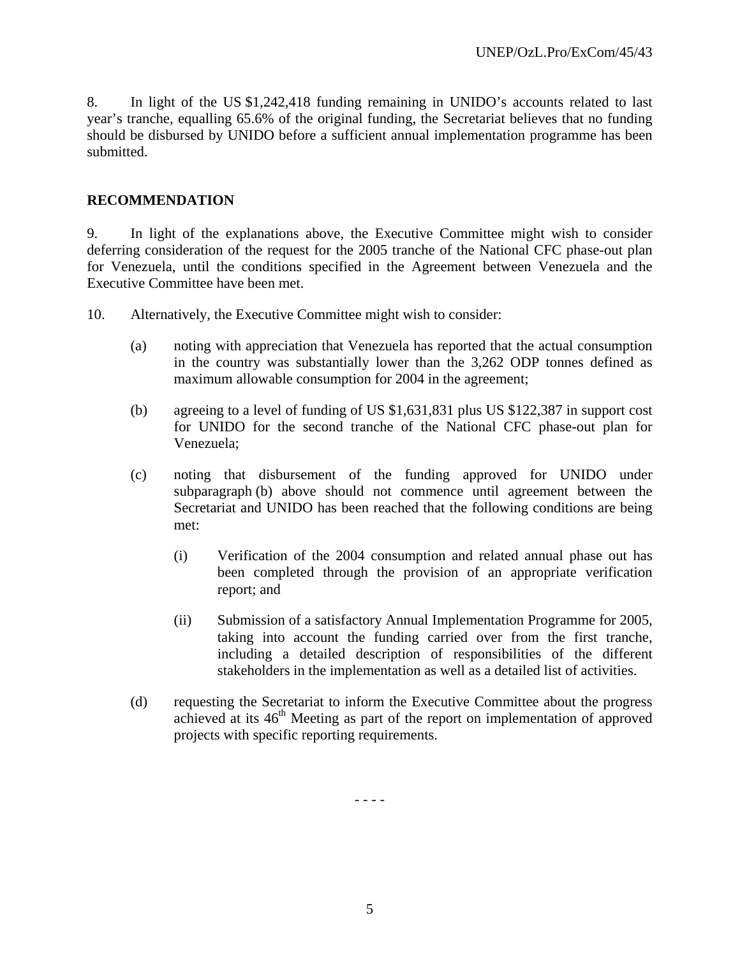8. In light of the US \$1,242,418 funding remaining in UNIDO's accounts related to last year's tranche, equalling 65.6% of the original funding, the Secretariat believes that no funding should be disbursed by UNIDO before a sufficient annual implementation programme has been submitted.

## **RECOMMENDATION**

9. In light of the explanations above, the Executive Committee might wish to consider deferring consideration of the request for the 2005 tranche of the National CFC phase-out plan for Venezuela, until the conditions specified in the Agreement between Venezuela and the Executive Committee have been met.

10. Alternatively, the Executive Committee might wish to consider:

- (a) noting with appreciation that Venezuela has reported that the actual consumption in the country was substantially lower than the 3,262 ODP tonnes defined as maximum allowable consumption for 2004 in the agreement;
- (b) agreeing to a level of funding of US \$1,631,831 plus US \$122,387 in support cost for UNIDO for the second tranche of the National CFC phase-out plan for Venezuela;
- (c) noting that disbursement of the funding approved for UNIDO under subparagraph (b) above should not commence until agreement between the Secretariat and UNIDO has been reached that the following conditions are being met:
	- (i) Verification of the 2004 consumption and related annual phase out has been completed through the provision of an appropriate verification report; and
	- (ii) Submission of a satisfactory Annual Implementation Programme for 2005, taking into account the funding carried over from the first tranche, including a detailed description of responsibilities of the different stakeholders in the implementation as well as a detailed list of activities.
- (d) requesting the Secretariat to inform the Executive Committee about the progress achieved at its  $46<sup>th</sup>$  Meeting as part of the report on implementation of approved projects with specific reporting requirements.

- - - -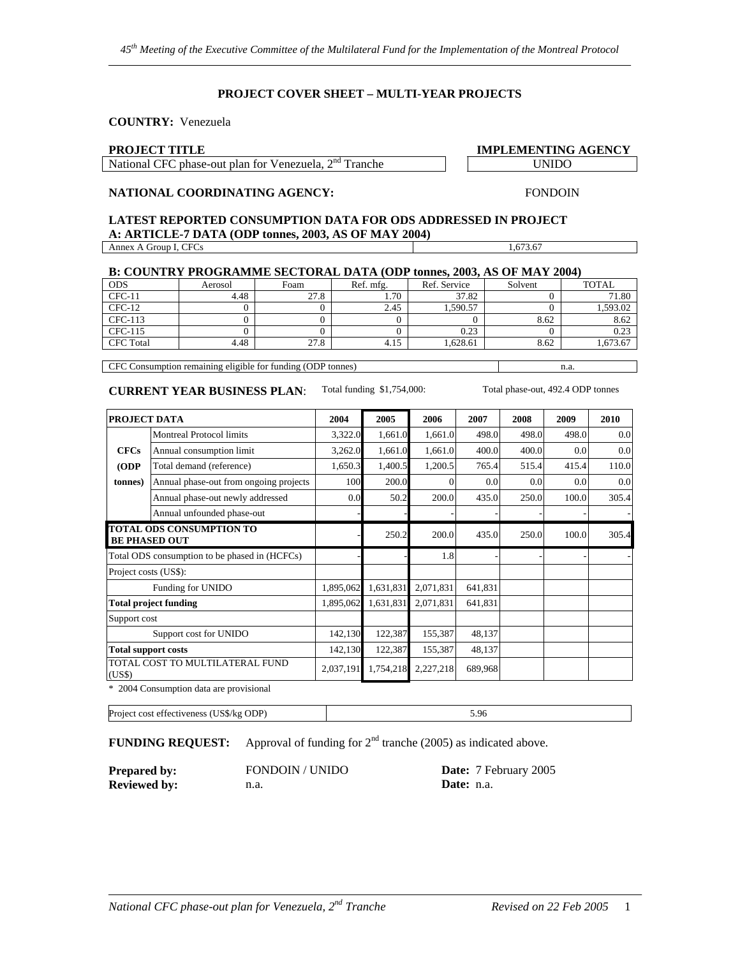#### **PROJECT COVER SHEET – MULTI-YEAR PROJECTS**

#### **COUNTRY:** Venezuela

#### **PROJECT TITLE IMPLEMENTING AGENCY**

National CFC phase-out plan for Venezuela,  $2<sup>nd</sup>$  Tranche UNIDO

### **NATIONAL COORDINATING AGENCY:**

#### **LATEST REPORTED CONSUMPTION DATA FOR ODS ADDRESSED IN PROJECT A: ARTICLE-7 DATA (ODP tonnes, 2003, AS OF MAY 2004)**  Annex A Group I, CFCs 1,673.67

| B: COUNTRY PROGRAMME SECTORAL DATA (ODP tonnes, 2003, AS OF MAY 2004) |         |      |           |              |         |              |
|-----------------------------------------------------------------------|---------|------|-----------|--------------|---------|--------------|
| <b>ODS</b>                                                            | Aerosol | Foam | Ref. mfg. | Ref. Service | Solvent | <b>TOTAL</b> |
| $CFC-11$                                                              | 4.48    | 27.8 | 1.70      | 37.82        |         | 71.80        |
| $CFC-12$                                                              |         |      | 2.45      | 1.590.57     |         | 1,593.02     |
| CFC-113                                                               |         |      |           |              | 8.62    | 8.62         |
| CFC-115                                                               |         |      |           | 0.23         |         | 0.23         |
| <b>CFC</b> Total                                                      | 4.48    | 27.8 | 4.15      | 1.628.61     | 8.62    | 1,673.67     |

CFC Consumption remaining eligible for funding (ODP tonnes) n.a.

#### **CURRENT YEAR BUSINESS PLAN**: Total funding \$1,754,000: Total phase-out, 492.4 ODP tonnes

FONDOIN

| PROJECT DATA                                            |                                               | 2004      | 2005      | 2006      | 2007    | 2008             | 2009  | 2010  |
|---------------------------------------------------------|-----------------------------------------------|-----------|-----------|-----------|---------|------------------|-------|-------|
|                                                         | <b>Montreal Protocol limits</b>               | 3,322.0   | 1,661.0   | 1,661.0   | 498.0   | 498.0            | 498.0 | 0.0   |
| <b>CFCs</b>                                             | Annual consumption limit                      | 3,262.0   | 1,661.0   | 1,661.0   | 400.0   | 400.0            | 0.0   | 0.0   |
| (ODP                                                    | Total demand (reference)                      | 1,650.3   | 1,400.5   | 1,200.5   | 765.4   | 515.4            | 415.4 | 110.0 |
| (tonnes)                                                | Annual phase-out from ongoing projects        | 100       | 200.0     |           | 0.0     | 0.0 <sub>l</sub> | 0.0   | 0.0   |
|                                                         | Annual phase-out newly addressed              | 0.0       | 50.2      | 200.0     | 435.0   | 250.0            | 100.0 | 305.4 |
|                                                         | Annual unfounded phase-out                    |           |           |           |         |                  |       |       |
| <b>TOTAL ODS CONSUMPTION TO</b><br><b>BE PHASED OUT</b> |                                               |           | 250.2     | 200.0     | 435.0   | 250.0            | 100.0 | 305.4 |
|                                                         | Total ODS consumption to be phased in (HCFCs) |           |           | 1.8       |         |                  |       |       |
| Project costs (US\$):                                   |                                               |           |           |           |         |                  |       |       |
|                                                         | Funding for UNIDO                             | 1,895,062 | 1,631,831 | 2,071,831 | 641,831 |                  |       |       |
|                                                         | <b>Total project funding</b>                  | 1,895,062 | 1,631,831 | 2,071,831 | 641,831 |                  |       |       |
| Support cost                                            |                                               |           |           |           |         |                  |       |       |
| Support cost for UNIDO                                  |                                               | 142,130   | 122,387   | 155,387   | 48,137  |                  |       |       |
| <b>Total support costs</b>                              |                                               | 142,130   | 122,387   | 155,387   | 48,137  |                  |       |       |
| (US\$)                                                  | TOTAL COST TO MULTILATERAL FUND               | 2,037,191 | 1,754,218 | 2,227,218 | 689,968 |                  |       |       |

\* 2004 Consumption data are provisional

Project cost effectiveness (US\$/kg ODP) 5.96

**FUNDING REQUEST:** Approval of funding for  $2<sup>nd</sup>$  tranche (2005) as indicated above.

**Reviewed by:** n.a. **Date:** n.a.

**Prepared by:** FONDOIN / UNIDO **Date:** 7 February 2005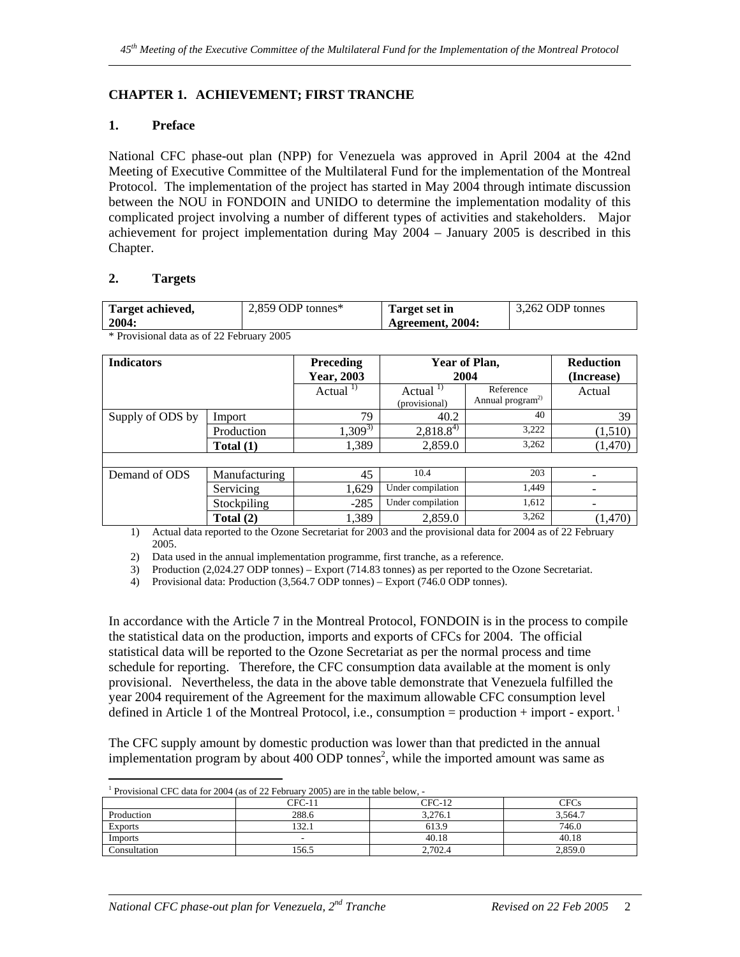## **CHAPTER 1. ACHIEVEMENT; FIRST TRANCHE**

## **1. Preface**

National CFC phase-out plan (NPP) for Venezuela was approved in April 2004 at the 42nd Meeting of Executive Committee of the Multilateral Fund for the implementation of the Montreal Protocol. The implementation of the project has started in May 2004 through intimate discussion between the NOU in FONDOIN and UNIDO to determine the implementation modality of this complicated project involving a number of different types of activities and stakeholders. Major achievement for project implementation during May 2004 – January 2005 is described in this Chapter.

## **2. Targets**

| Target achieved,                                           | 2.859 ODP tonnes $*$ | Target set in    | 3.262 ODP tonnes |
|------------------------------------------------------------|----------------------|------------------|------------------|
| 2004:                                                      |                      | Agreement, 2004: |                  |
| $\sim$ $\sim$ $\sim$ $\sim$ $\sim$<br>$c \wedge \neg \neg$ | $\sim$ $\sim$ $\sim$ |                  |                  |

| <b>Indicators</b> |               | <b>Preceding</b><br>Year, 2003 | Year of Plan,<br>2004           | <b>Reduction</b><br>(Increase)            |         |
|-------------------|---------------|--------------------------------|---------------------------------|-------------------------------------------|---------|
|                   |               | Actual $^{1}$                  | Actual $^{1)}$<br>(provisional) | Reference<br>Annual program <sup>2)</sup> | Actual  |
| Supply of ODS by  | Import        | 79                             | 40.2                            | 40                                        | 39      |
|                   | Production    | $1,309^{3}$                    | $2,818.8^{4}$                   | 3.222                                     | (1,510) |
|                   | Total $(1)$   | 1,389                          | 2,859.0                         | 3,262                                     | (1,470) |
|                   |               |                                |                                 |                                           |         |
| Demand of ODS     | Manufacturing | 45                             | 10.4                            | 203                                       |         |
|                   | Servicing     | 1,629                          | Under compilation               | 1,449                                     |         |
|                   | Stockpiling   | $-285$                         | Under compilation               | 1,612                                     |         |
|                   | Total $(2)$   | 1,389                          | 2,859.0                         | 3,262                                     | (1,470) |

\* Provisional data as of 22 February 2005

1) Actual data reported to the Ozone Secretariat for 2003 and the provisional data for 2004 as of 22 February 2005.

2) Data used in the annual implementation programme, first tranche, as a reference.

3) Production (2,024.27 ODP tonnes) – Export (714.83 tonnes) as per reported to the Ozone Secretariat.

4) Provisional data: Production (3,564.7 ODP tonnes) – Export (746.0 ODP tonnes).

In accordance with the Article 7 in the Montreal Protocol, FONDOIN is in the process to compile the statistical data on the production, imports and exports of CFCs for 2004. The official statistical data will be reported to the Ozone Secretariat as per the normal process and time schedule for reporting. Therefore, the CFC consumption data available at the moment is only provisional. Nevertheless, the data in the above table demonstrate that Venezuela fulfilled the year 2004 requirement of the Agreement for the maximum allowable CFC consumption level defined in Article 1 of the Montreal Protocol, i.e., consumption = production + import - export.<sup>1</sup>

The CFC supply amount by domestic production was lower than that predicted in the annual implementation program by about  $400$  ODP tonnes<sup>2</sup>, while the imported amount was same as

| <sup>1</sup> Provisional CFC data for 2004 (as of 22 February 2005) are in the table below, - |
|-----------------------------------------------------------------------------------------------|

| Tro risional et e auta for 2004 (as of 22 February 2005) are in the table below, |        |          |             |  |  |  |
|----------------------------------------------------------------------------------|--------|----------|-------------|--|--|--|
|                                                                                  | CFC-11 | $CFC-12$ | <b>CFCs</b> |  |  |  |
| Production                                                                       | 288.6  | 3.276.1  | 3.564.7     |  |  |  |
| <b>Exports</b>                                                                   | 132.1  | 613.9    | 746.0       |  |  |  |
| Imports                                                                          | -      | 40.18    | 40.18       |  |  |  |
| Consultation                                                                     | 156.5  | 2.702.4  | 2.859.0     |  |  |  |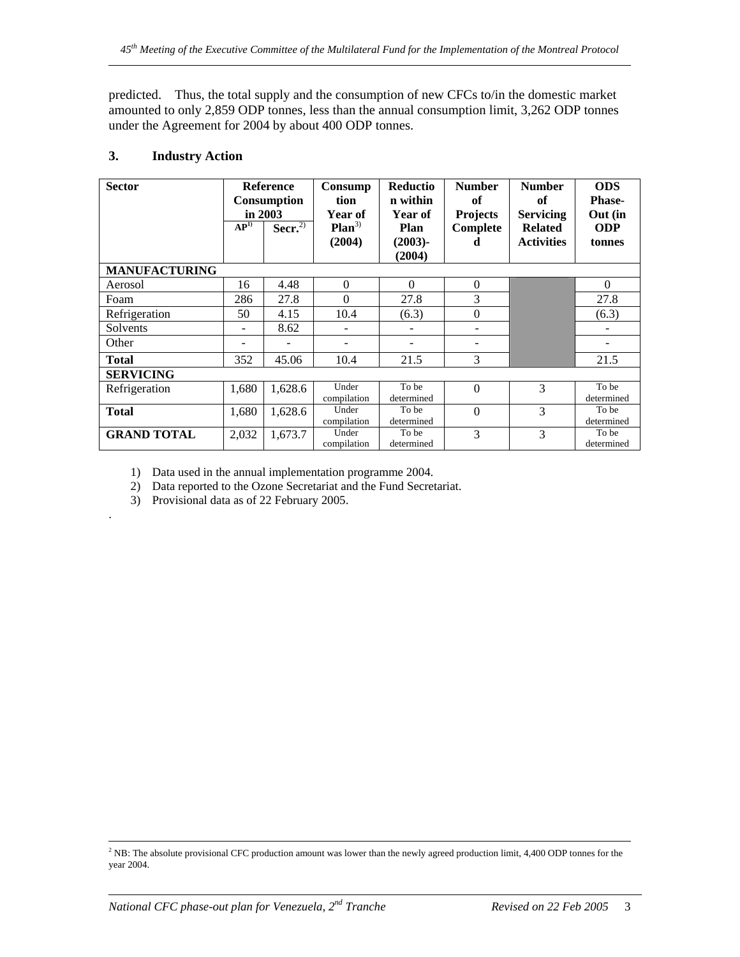predicted. Thus, the total supply and the consumption of new CFCs to/in the domestic market amounted to only 2,859 ODP tonnes, less than the annual consumption limit, 3,262 ODP tonnes under the Agreement for 2004 by about 400 ODP tonnes.

## **3. Industry Action**

| <b>Sector</b>        | AP <sup>1</sup> | <b>Reference</b><br>Consumption<br>in 2003<br>Secr. $2$ | Consump<br>tion<br>Year of<br>$Plan^{3)}$<br>(2004) | Reductio<br>n within<br><b>Year of</b><br>Plan<br>$(2003)$ -<br>(2004) | <b>Number</b><br>of<br><b>Projects</b><br>Complete<br>d | <b>Number</b><br>of<br><b>Servicing</b><br><b>Related</b><br><b>Activities</b> | <b>ODS</b><br><b>Phase-</b><br>Out (in<br><b>ODP</b><br>tonnes |
|----------------------|-----------------|---------------------------------------------------------|-----------------------------------------------------|------------------------------------------------------------------------|---------------------------------------------------------|--------------------------------------------------------------------------------|----------------------------------------------------------------|
| <b>MANUFACTURING</b> |                 |                                                         |                                                     |                                                                        |                                                         |                                                                                |                                                                |
| Aerosol              | 16              | 4.48                                                    | $\mathbf{0}$                                        | $\Omega$                                                               | $\boldsymbol{0}$                                        |                                                                                | $\mathbf{0}$                                                   |
| Foam                 | 286             | 27.8                                                    | $\Omega$                                            | 27.8                                                                   | 3                                                       |                                                                                | 27.8                                                           |
| Refrigeration        | 50              | 4.15                                                    | 10.4                                                | (6.3)                                                                  | $\boldsymbol{0}$                                        |                                                                                | (6.3)                                                          |
| Solvents             |                 | 8.62                                                    |                                                     |                                                                        |                                                         |                                                                                |                                                                |
| Other                |                 |                                                         |                                                     |                                                                        |                                                         |                                                                                |                                                                |
| <b>Total</b>         | 352             | 45.06                                                   | 10.4                                                | 21.5                                                                   | 3                                                       |                                                                                | 21.5                                                           |
| <b>SERVICING</b>     |                 |                                                         |                                                     |                                                                        |                                                         |                                                                                |                                                                |
| Refrigeration        | 1,680           | 1,628.6                                                 | Under<br>compilation                                | To be<br>determined                                                    | $\Omega$                                                | 3                                                                              | To be<br>determined                                            |
| <b>Total</b>         | 1,680           | 1,628.6                                                 | Under<br>compilation                                | To be<br>determined                                                    | $\Omega$                                                | 3                                                                              | To be<br>determined                                            |
| <b>GRAND TOTAL</b>   | 2,032           | 1.673.7                                                 | Under<br>compilation                                | To be<br>determined                                                    | 3                                                       | 3                                                                              | To be<br>determined                                            |

1) Data used in the annual implementation programme 2004.

2) Data reported to the Ozone Secretariat and the Fund Secretariat.

3) Provisional data as of 22 February 2005.

.

 $\frac{1}{2}$ <sup>2</sup> NB: The absolute provisional CFC production amount was lower than the newly agreed production limit, 4,400 ODP tonnes for the year 2004.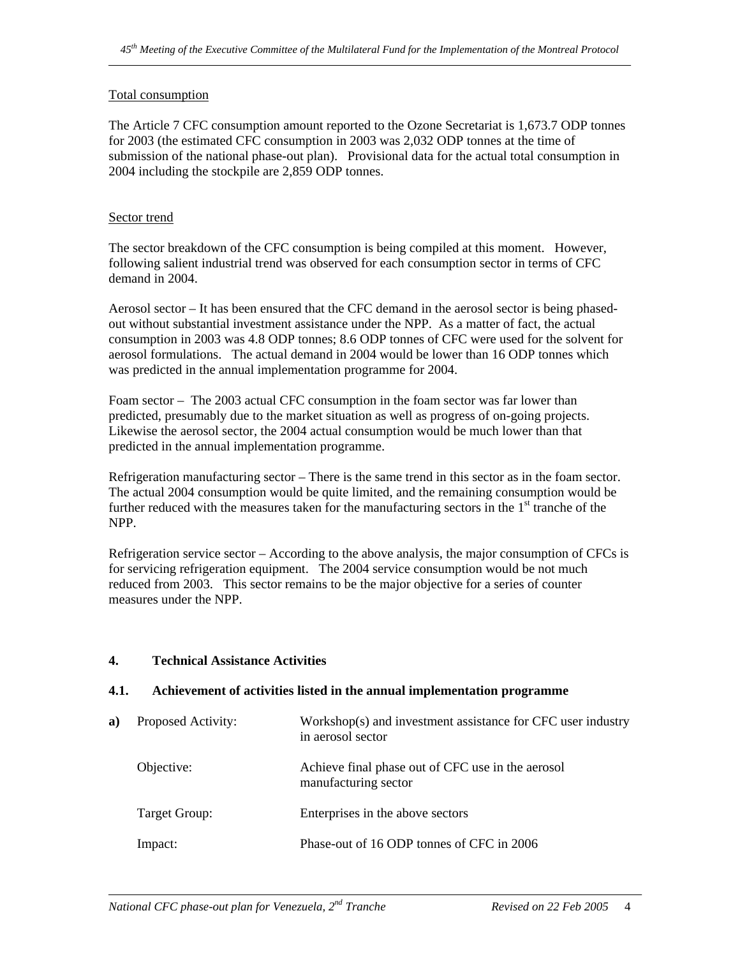## Total consumption

The Article 7 CFC consumption amount reported to the Ozone Secretariat is 1,673.7 ODP tonnes for 2003 (the estimated CFC consumption in 2003 was 2,032 ODP tonnes at the time of submission of the national phase-out plan). Provisional data for the actual total consumption in 2004 including the stockpile are 2,859 ODP tonnes.

## Sector trend

The sector breakdown of the CFC consumption is being compiled at this moment. However, following salient industrial trend was observed for each consumption sector in terms of CFC demand in 2004.

Aerosol sector – It has been ensured that the CFC demand in the aerosol sector is being phasedout without substantial investment assistance under the NPP. As a matter of fact, the actual consumption in 2003 was 4.8 ODP tonnes; 8.6 ODP tonnes of CFC were used for the solvent for aerosol formulations. The actual demand in 2004 would be lower than 16 ODP tonnes which was predicted in the annual implementation programme for 2004.

Foam sector – The 2003 actual CFC consumption in the foam sector was far lower than predicted, presumably due to the market situation as well as progress of on-going projects. Likewise the aerosol sector, the 2004 actual consumption would be much lower than that predicted in the annual implementation programme.

Refrigeration manufacturing sector – There is the same trend in this sector as in the foam sector. The actual 2004 consumption would be quite limited, and the remaining consumption would be further reduced with the measures taken for the manufacturing sectors in the  $1<sup>st</sup>$  tranche of the NPP.

Refrigeration service sector – According to the above analysis, the major consumption of CFCs is for servicing refrigeration equipment. The 2004 service consumption would be not much reduced from 2003. This sector remains to be the major objective for a series of counter measures under the NPP.

## **4. Technical Assistance Activities**

## **4.1. Achievement of activities listed in the annual implementation programme**

| a) | Proposed Activity: | Workshop(s) and investment assistance for CFC user industry<br>in aerosol sector |
|----|--------------------|----------------------------------------------------------------------------------|
|    | Objective:         | Achieve final phase out of CFC use in the aerosol<br>manufacturing sector        |
|    | Target Group:      | Enterprises in the above sectors                                                 |
|    | Impact:            | Phase-out of 16 ODP tonnes of CFC in 2006                                        |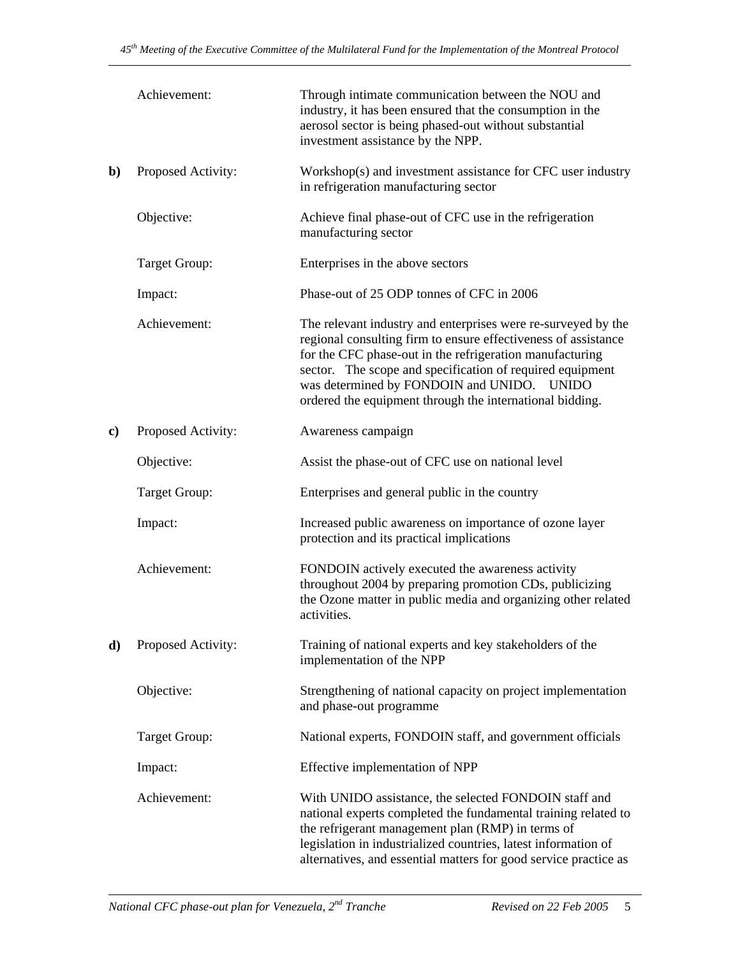|    | Achievement:       | Through intimate communication between the NOU and<br>industry, it has been ensured that the consumption in the<br>aerosol sector is being phased-out without substantial<br>investment assistance by the NPP.                                                                                                                                                     |  |  |  |
|----|--------------------|--------------------------------------------------------------------------------------------------------------------------------------------------------------------------------------------------------------------------------------------------------------------------------------------------------------------------------------------------------------------|--|--|--|
| b) | Proposed Activity: | Workshop(s) and investment assistance for CFC user industry<br>in refrigeration manufacturing sector                                                                                                                                                                                                                                                               |  |  |  |
|    | Objective:         | Achieve final phase-out of CFC use in the refrigeration<br>manufacturing sector                                                                                                                                                                                                                                                                                    |  |  |  |
|    | Target Group:      | Enterprises in the above sectors                                                                                                                                                                                                                                                                                                                                   |  |  |  |
|    | Impact:            | Phase-out of 25 ODP tonnes of CFC in 2006                                                                                                                                                                                                                                                                                                                          |  |  |  |
|    | Achievement:       | The relevant industry and enterprises were re-surveyed by the<br>regional consulting firm to ensure effectiveness of assistance<br>for the CFC phase-out in the refrigeration manufacturing<br>sector. The scope and specification of required equipment<br>was determined by FONDOIN and UNIDO. UNIDO<br>ordered the equipment through the international bidding. |  |  |  |
| c) | Proposed Activity: | Awareness campaign                                                                                                                                                                                                                                                                                                                                                 |  |  |  |
|    | Objective:         | Assist the phase-out of CFC use on national level                                                                                                                                                                                                                                                                                                                  |  |  |  |
|    | Target Group:      | Enterprises and general public in the country                                                                                                                                                                                                                                                                                                                      |  |  |  |
|    | Impact:            | Increased public awareness on importance of ozone layer<br>protection and its practical implications                                                                                                                                                                                                                                                               |  |  |  |
|    | Achievement:       | FONDOIN actively executed the awareness activity<br>throughout 2004 by preparing promotion CDs, publicizing<br>the Ozone matter in public media and organizing other related<br>activities.                                                                                                                                                                        |  |  |  |
| d) | Proposed Activity: | Training of national experts and key stakeholders of the<br>implementation of the NPP                                                                                                                                                                                                                                                                              |  |  |  |
|    | Objective:         | Strengthening of national capacity on project implementation<br>and phase-out programme                                                                                                                                                                                                                                                                            |  |  |  |
|    | Target Group:      | National experts, FONDOIN staff, and government officials                                                                                                                                                                                                                                                                                                          |  |  |  |
|    | Impact:            | Effective implementation of NPP                                                                                                                                                                                                                                                                                                                                    |  |  |  |
|    | Achievement:       | With UNIDO assistance, the selected FONDOIN staff and<br>national experts completed the fundamental training related to<br>the refrigerant management plan (RMP) in terms of<br>legislation in industrialized countries, latest information of<br>alternatives, and essential matters for good service practice as                                                 |  |  |  |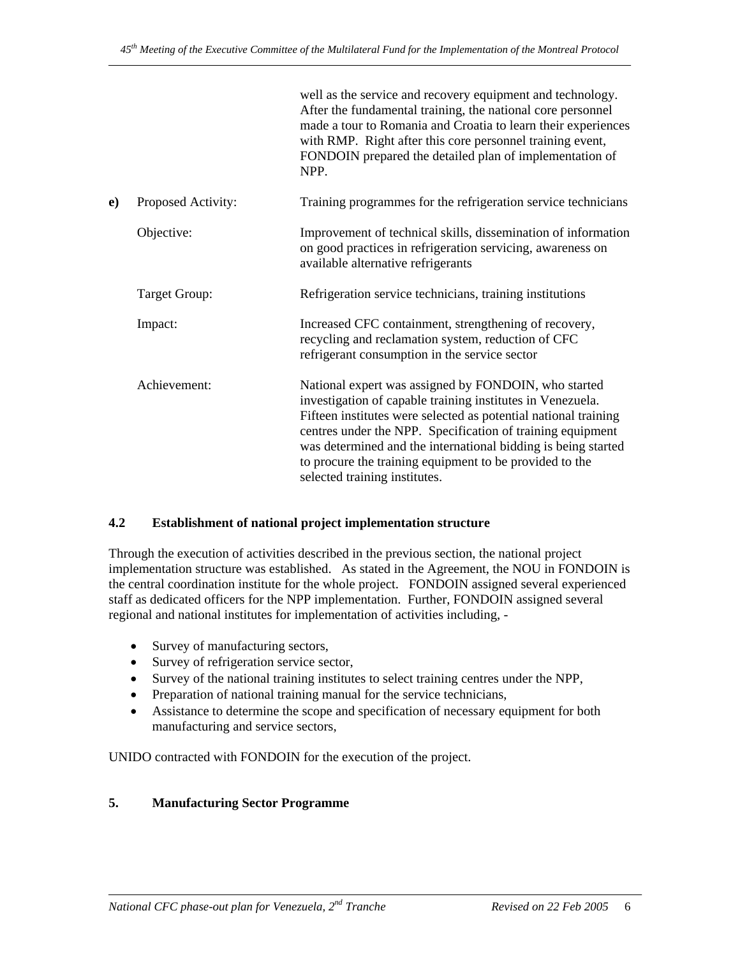|    |                    | well as the service and recovery equipment and technology.<br>After the fundamental training, the national core personnel<br>made a tour to Romania and Croatia to learn their experiences<br>with RMP. Right after this core personnel training event,<br>FONDOIN prepared the detailed plan of implementation of<br>NPP.                                                                                       |
|----|--------------------|------------------------------------------------------------------------------------------------------------------------------------------------------------------------------------------------------------------------------------------------------------------------------------------------------------------------------------------------------------------------------------------------------------------|
| e) | Proposed Activity: | Training programmes for the refrigeration service technicians                                                                                                                                                                                                                                                                                                                                                    |
|    | Objective:         | Improvement of technical skills, dissemination of information<br>on good practices in refrigeration servicing, awareness on<br>available alternative refrigerants                                                                                                                                                                                                                                                |
|    | Target Group:      | Refrigeration service technicians, training institutions                                                                                                                                                                                                                                                                                                                                                         |
|    | Impact:            | Increased CFC containment, strengthening of recovery,<br>recycling and reclamation system, reduction of CFC<br>refrigerant consumption in the service sector                                                                                                                                                                                                                                                     |
|    | Achievement:       | National expert was assigned by FONDOIN, who started<br>investigation of capable training institutes in Venezuela.<br>Fifteen institutes were selected as potential national training<br>centres under the NPP. Specification of training equipment<br>was determined and the international bidding is being started<br>to procure the training equipment to be provided to the<br>selected training institutes. |

## **4.2 Establishment of national project implementation structure**

Through the execution of activities described in the previous section, the national project implementation structure was established. As stated in the Agreement, the NOU in FONDOIN is the central coordination institute for the whole project. FONDOIN assigned several experienced staff as dedicated officers for the NPP implementation. Further, FONDOIN assigned several regional and national institutes for implementation of activities including, -

- Survey of manufacturing sectors,
- Survey of refrigeration service sector,
- Survey of the national training institutes to select training centres under the NPP,
- Preparation of national training manual for the service technicians,
- Assistance to determine the scope and specification of necessary equipment for both manufacturing and service sectors,

UNIDO contracted with FONDOIN for the execution of the project.

## **5. Manufacturing Sector Programme**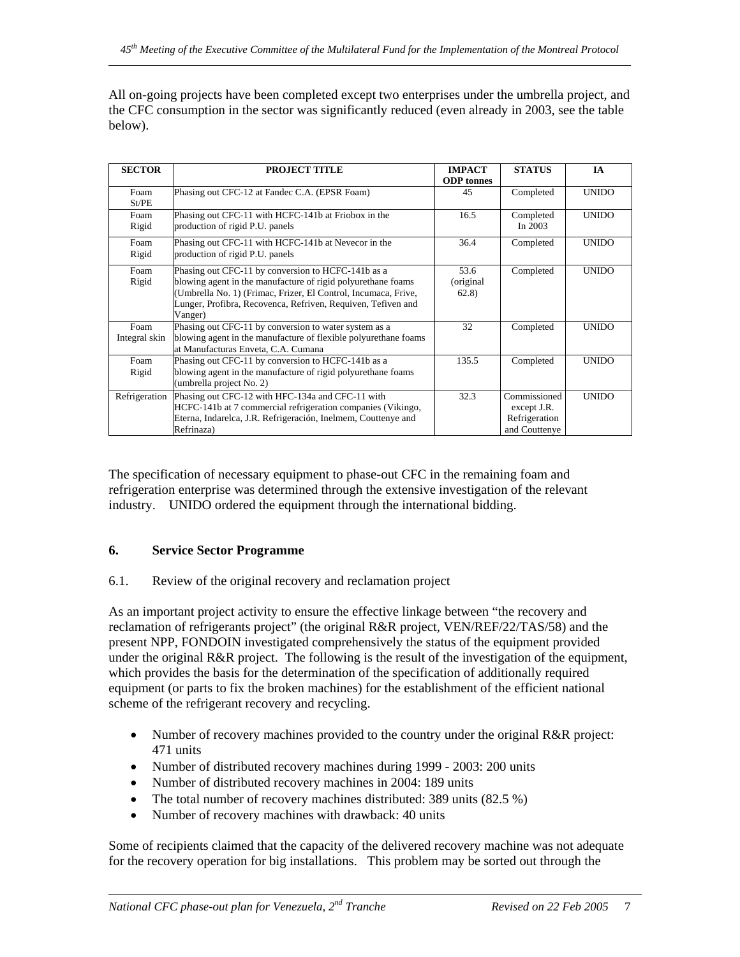All on-going projects have been completed except two enterprises under the umbrella project, and the CFC consumption in the sector was significantly reduced (even already in 2003, see the table below).

| <b>SECTOR</b>         | <b>PROJECT TITLE</b>                                                                                                                                                                                                                                            | <b>IMPACT</b><br><b>ODP</b> tonnes | <b>STATUS</b>                                                 | <b>IA</b>    |
|-----------------------|-----------------------------------------------------------------------------------------------------------------------------------------------------------------------------------------------------------------------------------------------------------------|------------------------------------|---------------------------------------------------------------|--------------|
| Foam<br>St/PE         | Phasing out CFC-12 at Fandec C.A. (EPSR Foam)                                                                                                                                                                                                                   | 45                                 | Completed                                                     | <b>UNIDO</b> |
| Foam<br>Rigid         | Phasing out CFC-11 with HCFC-141b at Friobox in the<br>production of rigid P.U. panels                                                                                                                                                                          | 16.5                               | Completed<br>In $2003$                                        | <b>UNIDO</b> |
| Foam<br>Rigid         | Phasing out CFC-11 with HCFC-141b at Nevecor in the<br>production of rigid P.U. panels                                                                                                                                                                          | 36.4                               | Completed                                                     | <b>UNIDO</b> |
| Foam<br>Rigid         | Phasing out CFC-11 by conversion to HCFC-141b as a<br>blowing agent in the manufacture of rigid polyurethane foams<br>(Umbrella No. 1) (Frimac, Frizer, El Control, Incumaca, Frive,<br>Lunger, Profibra, Recovenca, Refriven, Requiven, Tefiven and<br>Vanger) | 53.6<br>(original)<br>62.8)        | Completed                                                     | <b>UNIDO</b> |
| Foam<br>Integral skin | Phasing out CFC-11 by conversion to water system as a<br>blowing agent in the manufacture of flexible polyurethane foams<br>at Manufacturas Enveta, C.A. Cumana                                                                                                 | 32                                 | Completed                                                     | <b>UNIDO</b> |
| Foam<br>Rigid         | Phasing out CFC-11 by conversion to HCFC-141b as a<br>blowing agent in the manufacture of rigid polyurethane foams<br>(umbrella project No. 2)                                                                                                                  | 135.5                              | Completed                                                     | <b>UNIDO</b> |
| Refrigeration         | Phasing out CFC-12 with HFC-134a and CFC-11 with<br>HCFC-141b at 7 commercial refrigeration companies (Vikingo,<br>Eterna, Indarelca, J.R. Refrigeración, Inelmem, Couttenye and<br>Refrinaza)                                                                  | 32.3                               | Commissioned<br>except J.R.<br>Refrigeration<br>and Couttenye | <b>UNIDO</b> |

The specification of necessary equipment to phase-out CFC in the remaining foam and refrigeration enterprise was determined through the extensive investigation of the relevant industry. UNIDO ordered the equipment through the international bidding.

## **6. Service Sector Programme**

## 6.1. Review of the original recovery and reclamation project

As an important project activity to ensure the effective linkage between "the recovery and reclamation of refrigerants project" (the original R&R project, VEN/REF/22/TAS/58) and the present NPP, FONDOIN investigated comprehensively the status of the equipment provided under the original R&R project. The following is the result of the investigation of the equipment, which provides the basis for the determination of the specification of additionally required equipment (or parts to fix the broken machines) for the establishment of the efficient national scheme of the refrigerant recovery and recycling.

- Number of recovery machines provided to the country under the original R&R project: 471 units
- Number of distributed recovery machines during 1999 2003: 200 units
- Number of distributed recovery machines in 2004: 189 units
- The total number of recovery machines distributed: 389 units (82.5 %)
- Number of recovery machines with drawback: 40 units

Some of recipients claimed that the capacity of the delivered recovery machine was not adequate for the recovery operation for big installations. This problem may be sorted out through the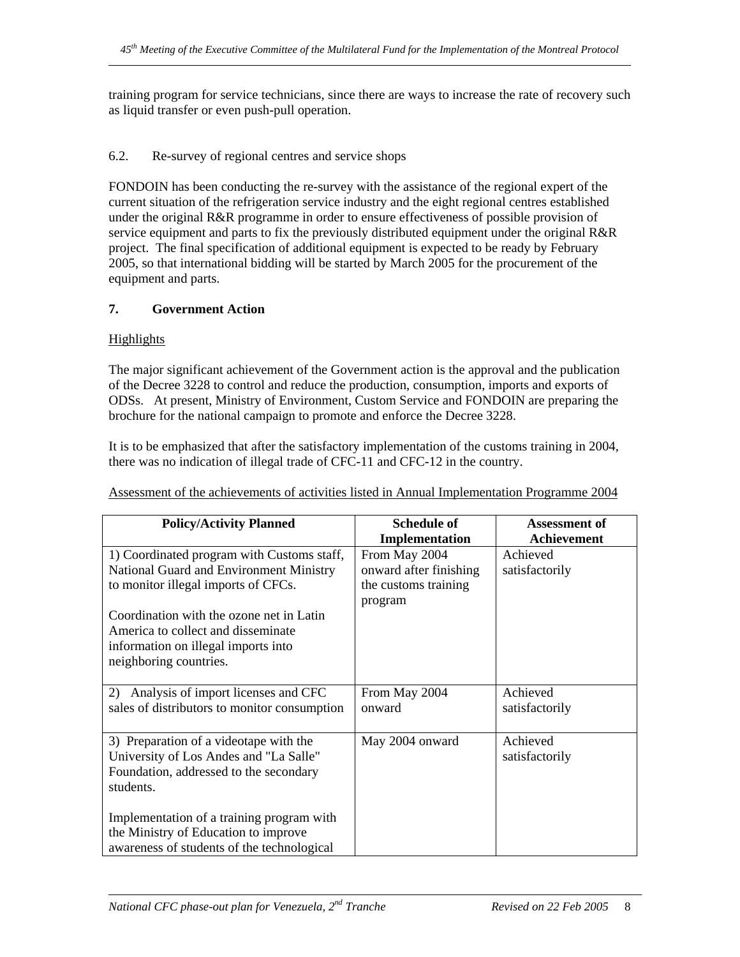training program for service technicians, since there are ways to increase the rate of recovery such as liquid transfer or even push-pull operation.

## 6.2. Re-survey of regional centres and service shops

FONDOIN has been conducting the re-survey with the assistance of the regional expert of the current situation of the refrigeration service industry and the eight regional centres established under the original R&R programme in order to ensure effectiveness of possible provision of service equipment and parts to fix the previously distributed equipment under the original R&R project. The final specification of additional equipment is expected to be ready by February 2005, so that international bidding will be started by March 2005 for the procurement of the equipment and parts.

## **7. Government Action**

## Highlights

The major significant achievement of the Government action is the approval and the publication of the Decree 3228 to control and reduce the production, consumption, imports and exports of ODSs. At present, Ministry of Environment, Custom Service and FONDOIN are preparing the brochure for the national campaign to promote and enforce the Decree 3228.

It is to be emphasized that after the satisfactory implementation of the customs training in 2004, there was no indication of illegal trade of CFC-11 and CFC-12 in the country.

| <b>Policy/Activity Planned</b>               | <b>Schedule of</b>      | <b>Assessment of</b> |
|----------------------------------------------|-------------------------|----------------------|
|                                              | Implementation          | Achievement          |
| 1) Coordinated program with Customs staff,   | From May 2004           | Achieved             |
| National Guard and Environment Ministry      | onward after finishing  | satisfactorily       |
| to monitor illegal imports of CFCs.          | the customs training    |                      |
|                                              | program                 |                      |
| Coordination with the ozone net in Latin     |                         |                      |
| America to collect and disseminate           |                         |                      |
| information on illegal imports into          |                         |                      |
| neighboring countries.                       |                         |                      |
|                                              |                         | Achieved             |
| Analysis of import licenses and CFC<br>2)    | From May 2004<br>onward |                      |
| sales of distributors to monitor consumption |                         | satisfactorily       |
| 3) Preparation of a videotape with the       | May 2004 onward         | Achieved             |
| University of Los Andes and "La Salle"       |                         | satisfactorily       |
| Foundation, addressed to the secondary       |                         |                      |
| students.                                    |                         |                      |
|                                              |                         |                      |
| Implementation of a training program with    |                         |                      |
| the Ministry of Education to improve         |                         |                      |
| awareness of students of the technological   |                         |                      |

Assessment of the achievements of activities listed in Annual Implementation Programme 2004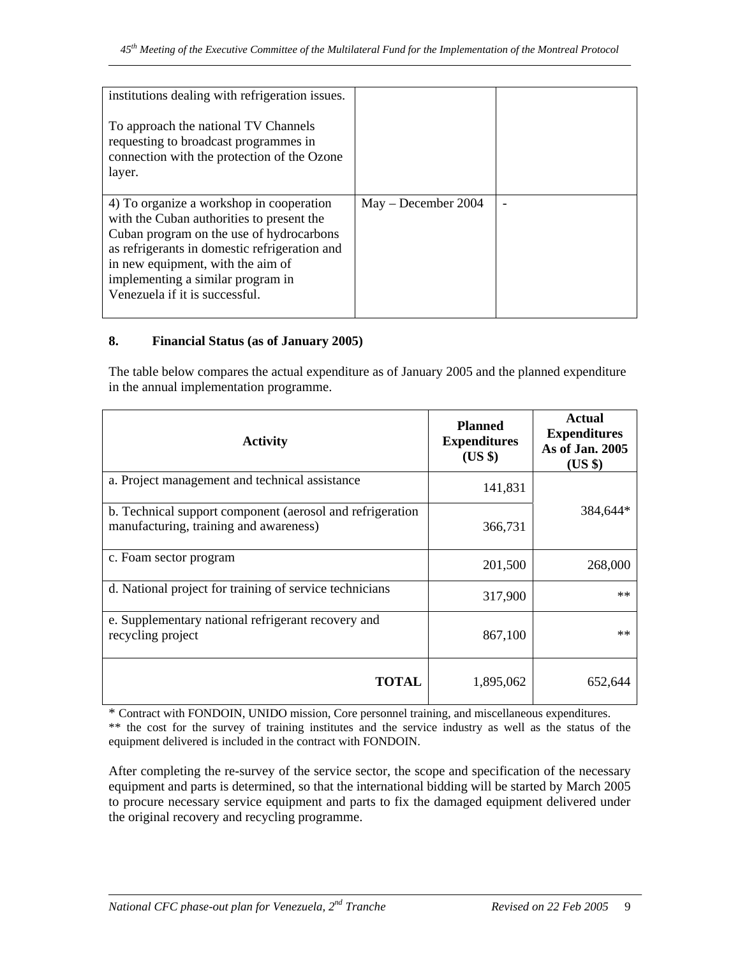| institutions dealing with refrigeration issues.<br>To approach the national TV Channels<br>requesting to broadcast programmes in<br>connection with the protection of the Ozone<br>layer.                                                                                                      |                       |  |
|------------------------------------------------------------------------------------------------------------------------------------------------------------------------------------------------------------------------------------------------------------------------------------------------|-----------------------|--|
| 4) To organize a workshop in cooperation<br>with the Cuban authorities to present the<br>Cuban program on the use of hydrocarbons<br>as refrigerants in domestic refrigeration and<br>in new equipment, with the aim of<br>implementing a similar program in<br>Venezuela if it is successful. | $May - December 2004$ |  |

## **8. Financial Status (as of January 2005)**

The table below compares the actual expenditure as of January 2005 and the planned expenditure in the annual implementation programme.

| <b>Activity</b>                                                                                     | <b>Planned</b><br><b>Expenditures</b><br>$(US \$ | <b>Actual</b><br><b>Expenditures</b><br>As of Jan. 2005<br>$(US \$ |
|-----------------------------------------------------------------------------------------------------|--------------------------------------------------|--------------------------------------------------------------------|
| a. Project management and technical assistance                                                      | 141,831                                          |                                                                    |
| b. Technical support component (aerosol and refrigeration<br>manufacturing, training and awareness) | 366,731                                          | 384,644*                                                           |
| c. Foam sector program                                                                              | 201,500                                          | 268,000                                                            |
| d. National project for training of service technicians                                             | 317,900                                          | $**$                                                               |
| e. Supplementary national refrigerant recovery and<br>recycling project                             | 867,100                                          | $**$                                                               |
| <b>TOTAL</b>                                                                                        | 1,895,062                                        | 652,644                                                            |

\* Contract with FONDOIN, UNIDO mission, Core personnel training, and miscellaneous expenditures. \*\* the cost for the survey of training institutes and the service industry as well as the status of the equipment delivered is included in the contract with FONDOIN.

After completing the re-survey of the service sector, the scope and specification of the necessary equipment and parts is determined, so that the international bidding will be started by March 2005 to procure necessary service equipment and parts to fix the damaged equipment delivered under the original recovery and recycling programme.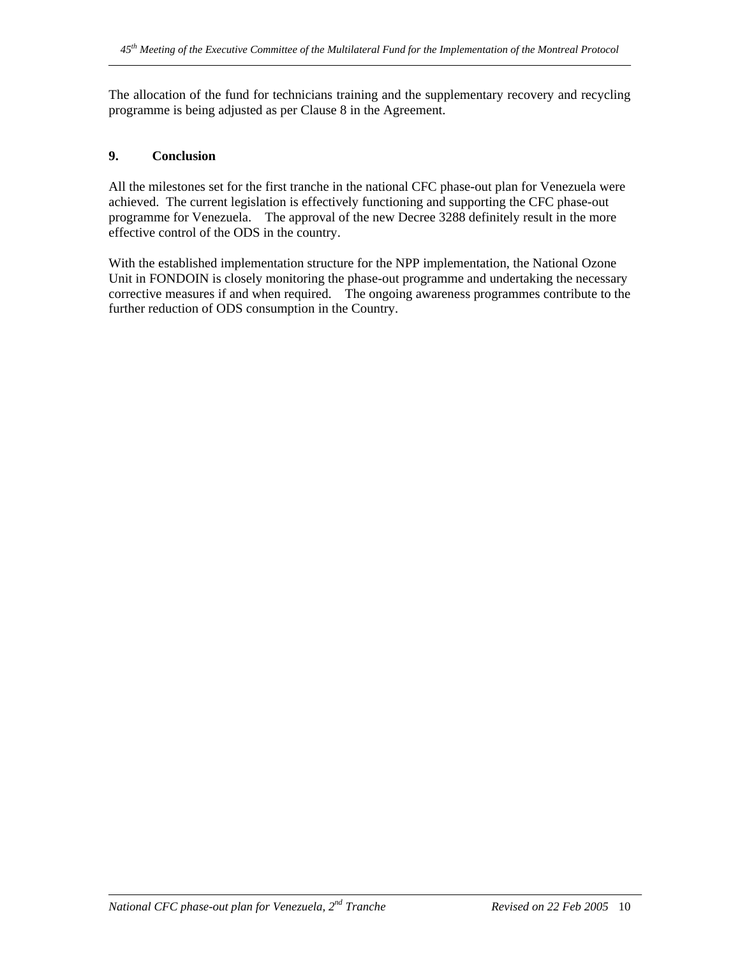The allocation of the fund for technicians training and the supplementary recovery and recycling programme is being adjusted as per Clause 8 in the Agreement.

## **9. Conclusion**

All the milestones set for the first tranche in the national CFC phase-out plan for Venezuela were achieved. The current legislation is effectively functioning and supporting the CFC phase-out programme for Venezuela. The approval of the new Decree 3288 definitely result in the more effective control of the ODS in the country.

With the established implementation structure for the NPP implementation, the National Ozone Unit in FONDOIN is closely monitoring the phase-out programme and undertaking the necessary corrective measures if and when required. The ongoing awareness programmes contribute to the further reduction of ODS consumption in the Country.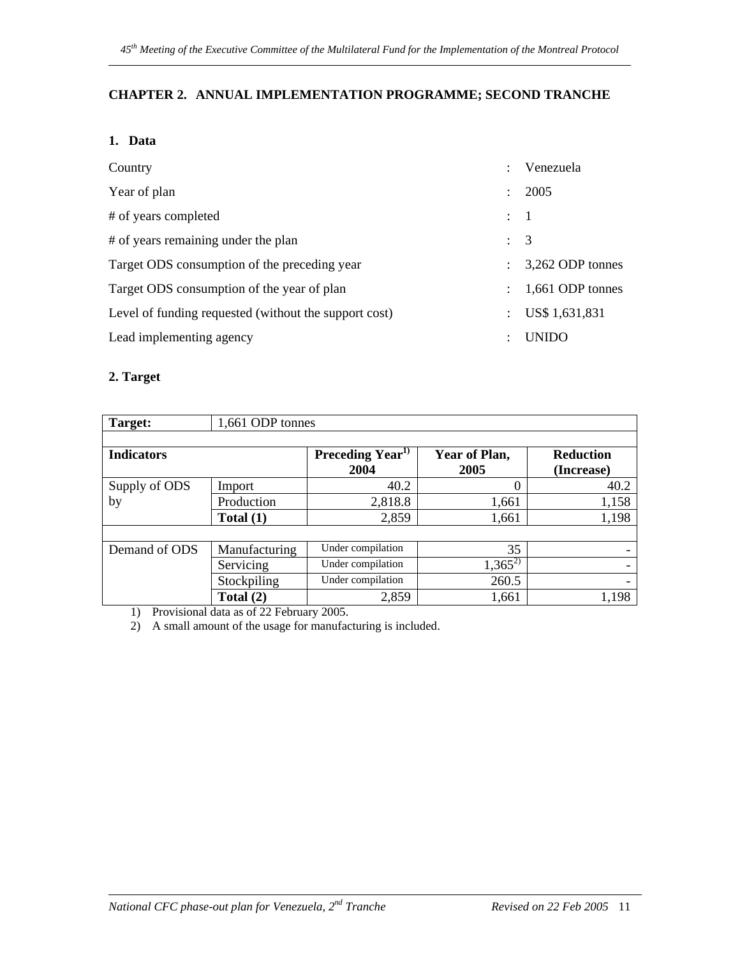# **CHAPTER 2. ANNUAL IMPLEMENTATION PROGRAMME; SECOND TRANCHE**

## **1. Data**

| Country                                               | $\bullet$                 | Venezuela        |
|-------------------------------------------------------|---------------------------|------------------|
| Year of plan                                          | $\ddot{\phantom{0}}$      | 2005             |
| # of years completed                                  | $\therefore$ 1            |                  |
| # of years remaining under the plan                   | $\therefore$ 3            |                  |
| Target ODS consumption of the preceding year          | $\mathbb{R}^{\mathbb{Z}}$ | 3,262 ODP tonnes |
| Target ODS consumption of the year of plan            | $\ddot{\phantom{a}}$      | 1,661 ODP tonnes |
| Level of funding requested (without the support cost) | $\mathcal{L}$             | US\$ 1,631,831   |
| Lead implementing agency                              | ٠                         | <b>UNIDO</b>     |

## **2. Target**

| Target:           | 1,661 ODP tonnes |                              |                       |                                |  |  |
|-------------------|------------------|------------------------------|-----------------------|--------------------------------|--|--|
| <b>Indicators</b> |                  | Preceding $Year^{T}$<br>2004 | Year of Plan,<br>2005 | <b>Reduction</b><br>(Increase) |  |  |
| Supply of ODS     | Import           | 40.2                         | 0                     | 40.2                           |  |  |
| by                | Production       | 2,818.8                      | 1,661                 | 1,158                          |  |  |
|                   | Total $(1)$      | 2,859                        | 1,661                 | 1,198                          |  |  |
|                   |                  |                              |                       |                                |  |  |
| Demand of ODS     | Manufacturing    | Under compilation            | 35                    |                                |  |  |
|                   | Servicing        | Under compilation            | $1,365^{2}$           |                                |  |  |
|                   | Stockpiling      | Under compilation            | 260.5                 |                                |  |  |
|                   | Total $(2)$      | 2,859                        | 1,661                 | 1,198                          |  |  |

1) Provisional data as of 22 February 2005.

2) A small amount of the usage for manufacturing is included.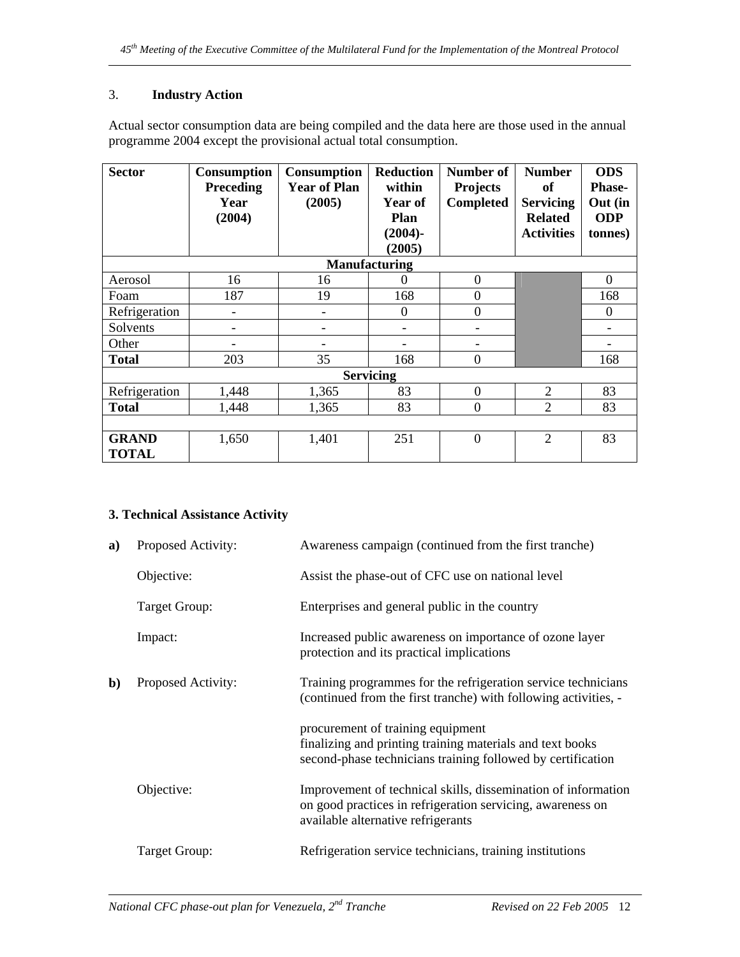# 3. **Industry Action**

Actual sector consumption data are being compiled and the data here are those used in the annual programme 2004 except the provisional actual total consumption.

| <b>Sector</b>                | <b>Consumption</b><br>Preceding<br>Year<br>(2004) | <b>Consumption</b><br><b>Year of Plan</b><br>(2005) | <b>Reduction</b><br>within<br><b>Year of</b><br><b>Plan</b><br>$(2004) -$ | <b>Number of</b><br><b>Projects</b><br><b>Completed</b> | <b>Number</b><br>of<br><b>Servicing</b><br><b>Related</b><br><b>Activities</b> | <b>ODS</b><br><b>Phase-</b><br>Out (in<br><b>ODP</b><br>tonnes) |
|------------------------------|---------------------------------------------------|-----------------------------------------------------|---------------------------------------------------------------------------|---------------------------------------------------------|--------------------------------------------------------------------------------|-----------------------------------------------------------------|
|                              |                                                   |                                                     | (2005)                                                                    |                                                         |                                                                                |                                                                 |
|                              |                                                   |                                                     | <b>Manufacturing</b>                                                      |                                                         |                                                                                |                                                                 |
| Aerosol                      | 16                                                | 16                                                  | 0                                                                         | $\boldsymbol{0}$                                        |                                                                                | $\overline{0}$                                                  |
| Foam                         | 187                                               | 19                                                  | 168                                                                       | $\overline{0}$                                          |                                                                                | 168                                                             |
| Refrigeration                | $\overline{\phantom{0}}$                          | $\qquad \qquad \blacksquare$                        | $\theta$                                                                  | $\boldsymbol{0}$                                        |                                                                                | $\Omega$                                                        |
| Solvents                     | -                                                 |                                                     |                                                                           | $\qquad \qquad \blacksquare$                            |                                                                                |                                                                 |
| Other                        |                                                   |                                                     |                                                                           |                                                         |                                                                                |                                                                 |
| <b>Total</b>                 | 203                                               | 35                                                  | 168                                                                       | $\overline{0}$                                          |                                                                                | 168                                                             |
|                              |                                                   |                                                     | <b>Servicing</b>                                                          |                                                         |                                                                                |                                                                 |
| Refrigeration                | 1,448                                             | 1,365                                               | 83                                                                        | $\theta$                                                | $\overline{2}$                                                                 | 83                                                              |
| <b>Total</b>                 | 1,448                                             | 1,365                                               | 83                                                                        | $\boldsymbol{0}$                                        | $\overline{2}$                                                                 | 83                                                              |
|                              |                                                   |                                                     |                                                                           |                                                         |                                                                                |                                                                 |
| <b>GRAND</b><br><b>TOTAL</b> | 1,650                                             | 1,401                                               | 251                                                                       | $\theta$                                                | $\overline{2}$                                                                 | 83                                                              |

# **3. Technical Assistance Activity**

| a)           | Proposed Activity: | Awareness campaign (continued from the first tranche)                                                                                                             |
|--------------|--------------------|-------------------------------------------------------------------------------------------------------------------------------------------------------------------|
|              | Objective:         | Assist the phase-out of CFC use on national level                                                                                                                 |
|              | Target Group:      | Enterprises and general public in the country                                                                                                                     |
|              | Impact:            | Increased public awareness on importance of ozone layer<br>protection and its practical implications                                                              |
| $\mathbf{b}$ | Proposed Activity: | Training programmes for the refrigeration service technicians<br>(continued from the first tranche) with following activities, -                                  |
|              |                    | procurement of training equipment<br>finalizing and printing training materials and text books<br>second-phase technicians training followed by certification     |
|              | Objective:         | Improvement of technical skills, dissemination of information<br>on good practices in refrigeration servicing, awareness on<br>available alternative refrigerants |
|              | Target Group:      | Refrigeration service technicians, training institutions                                                                                                          |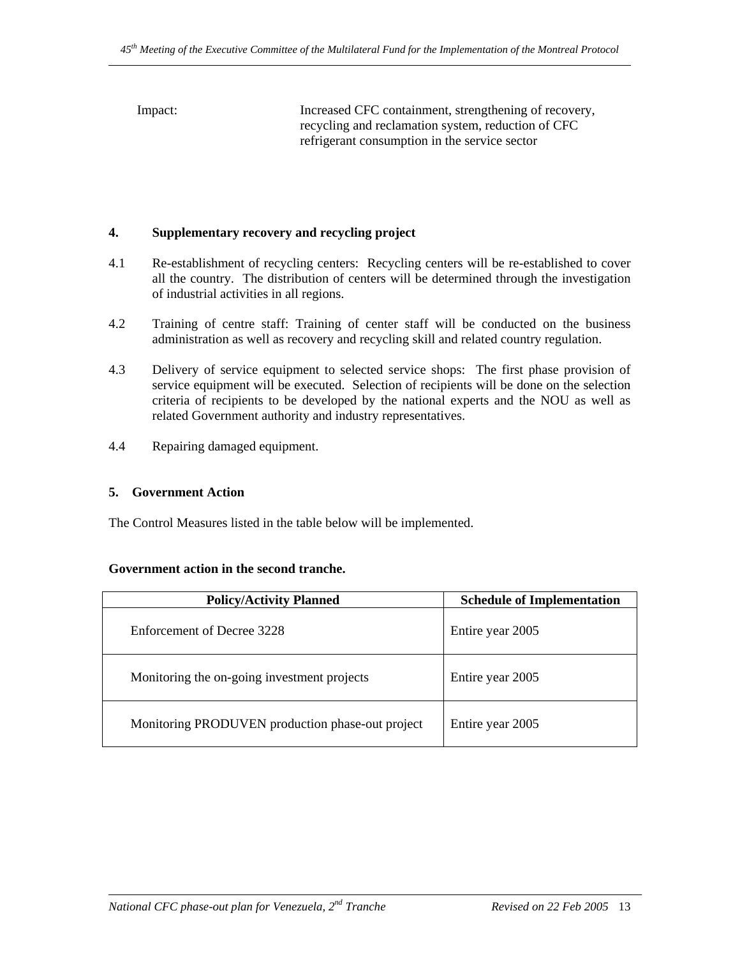Impact: Increased CFC containment, strengthening of recovery, recycling and reclamation system, reduction of CFC refrigerant consumption in the service sector

## **4. Supplementary recovery and recycling project**

- 4.1 Re-establishment of recycling centers: Recycling centers will be re-established to cover all the country. The distribution of centers will be determined through the investigation of industrial activities in all regions.
- 4.2 Training of centre staff: Training of center staff will be conducted on the business administration as well as recovery and recycling skill and related country regulation.
- 4.3 Delivery of service equipment to selected service shops: The first phase provision of service equipment will be executed. Selection of recipients will be done on the selection criteria of recipients to be developed by the national experts and the NOU as well as related Government authority and industry representatives.
- 4.4 Repairing damaged equipment.

## **5. Government Action**

The Control Measures listed in the table below will be implemented.

## **Government action in the second tranche.**

| <b>Policy/Activity Planned</b>                   | <b>Schedule of Implementation</b> |
|--------------------------------------------------|-----------------------------------|
| Enforcement of Decree 3228                       | Entire year 2005                  |
| Monitoring the on-going investment projects      | Entire year 2005                  |
| Monitoring PRODUVEN production phase-out project | Entire year 2005                  |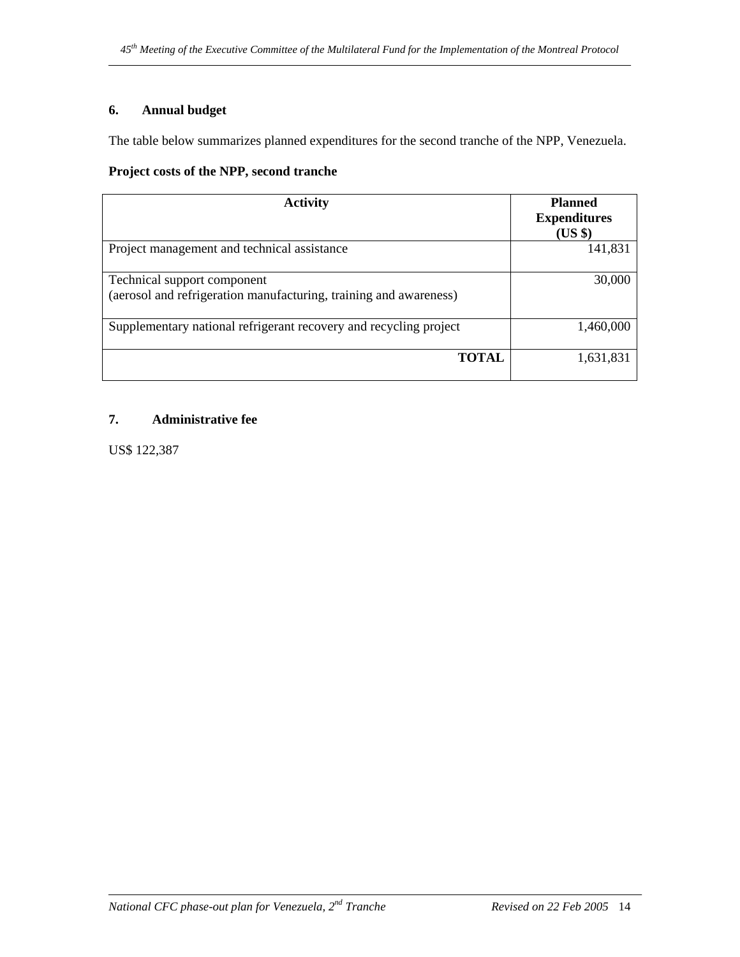# **6. Annual budget**

The table below summarizes planned expenditures for the second tranche of the NPP, Venezuela.

# **Project costs of the NPP, second tranche**

| <b>Activity</b>                                                                                  | <b>Planned</b><br><b>Expenditures</b><br>$(US \$ |
|--------------------------------------------------------------------------------------------------|--------------------------------------------------|
| Project management and technical assistance                                                      | 141,831                                          |
| Technical support component<br>(aerosol and refrigeration manufacturing, training and awareness) | 30,000                                           |
| Supplementary national refrigerant recovery and recycling project                                | 1,460,000                                        |
| <b>TOTAL</b>                                                                                     | 1,631,831                                        |

# **7. Administrative fee**

US\$ 122,387